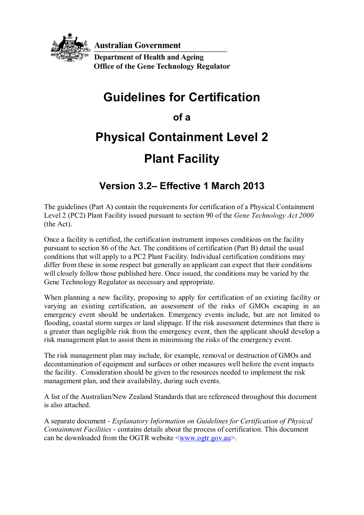

**Australian Government** 

**Department of Health and Ageing Office of the Gene Technology Regulator** 

## **Guidelines for Certification**

### **of a**

# **Physical Containment Level 2 Plant Facility**

## **Version 3.2– Effective 1 March 2013**

The guidelines (Part A) contain the requirements for certification of a Physical Containment Level 2 (PC2) Plant Facility issued pursuant to section 90 of the *Gene Technology Act 2000* (the Act).

Once a facility is certified, the certification instrument imposes conditions on the facility pursuant to section 86 of the Act. The conditions of certification (Part B) detail the usual conditions that will apply to a PC2 Plant Facility. Individual certification conditions may differ from these in some respect but generally an applicant can expect that their conditions will closely follow those published here. Once issued, the conditions may be varied by the Gene Technology Regulator as necessary and appropriate.

When planning a new facility, proposing to apply for certification of an existing facility or varying an existing certification, an assessment of the risks of GMOs escaping in an emergency event should be undertaken. Emergency events include, but are not limited to flooding, coastal storm surges or land slippage. If the risk assessment determines that there is a greater than negligible risk from the emergency event, then the applicant should develop a risk management plan to assist them in minimising the risks of the emergency event.

The risk management plan may include, for example, removal or destruction of GMOs and decontamination of equipment and surfaces or other measures well before the event impacts the facility. Consideration should be given to the resources needed to implement the risk management plan, and their availability, during such events.

A list of the Australian/New Zealand Standards that are referenced throughout this document is also attached.

A separate document - *Explanatory Information on Guidelines for Certification of Physical Containment Facilities* - contains details about the process of certification. This document can be downloaded from the OGTR website  $\langle$ www.ogtr.gov.au>.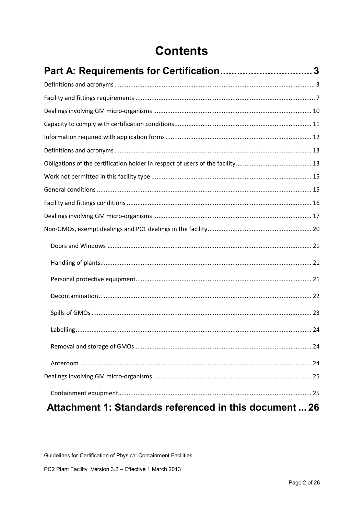## **Contents**

| Attachment 1: Standards referenced in this document  26 |  |
|---------------------------------------------------------|--|

Guidelines for Certification of Physical Containment Facilities

PC2 Plant Facility Version 3.2 - Effective 1 March 2013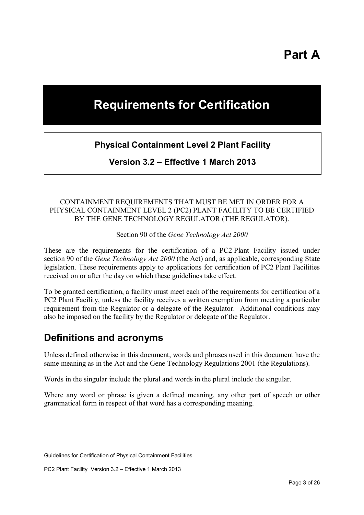## **Requirements for Certification**

#### **Physical Containment Level 2 Plant Facility**

**Version 3.2 – Effective 1 March 2013**

#### CONTAINMENT REQUIREMENTS THAT MUST BE MET IN ORDER FOR A PHYSICAL CONTAINMENT LEVEL 2 (PC2) PLANT FACILITY TO BE CERTIFIED BY THE GENE TECHNOLOGY REGULATOR (THE REGULATOR).

Section 90 of the *Gene Technology Act 2000*

These are the requirements for the certification of a PC2 Plant Facility issued under section 90 of the *Gene Technology Act 2000* (the Act) and, as applicable, corresponding State legislation. These requirements apply to applications for certification of PC2 Plant Facilities received on or after the day on which these guidelines take effect.

To be granted certification, a facility must meet each of the requirements for certification of a PC2 Plant Facility, unless the facility receives a written exemption from meeting a particular requirement from the Regulator or a delegate of the Regulator. Additional conditions may also be imposed on the facility by the Regulator or delegate of the Regulator.

### **Definitions and acronyms**

Unless defined otherwise in this document, words and phrases used in this document have the same meaning as in the Act and the Gene Technology Regulations 2001 (the Regulations).

Words in the singular include the plural and words in the plural include the singular.

Where any word or phrase is given a defined meaning, any other part of speech or other grammatical form in respect of that word has a corresponding meaning.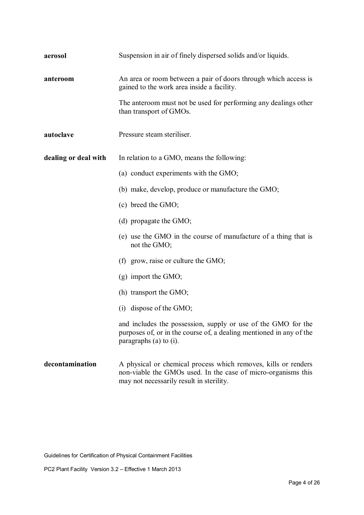| aerosol              | Suspension in air of finely dispersed solids and/or liquids.                                                                                                        |
|----------------------|---------------------------------------------------------------------------------------------------------------------------------------------------------------------|
| anteroom             | An area or room between a pair of doors through which access is<br>gained to the work area inside a facility.                                                       |
|                      | The anteroom must not be used for performing any dealings other<br>than transport of GMOs.                                                                          |
| autoclave            | Pressure steam steriliser.                                                                                                                                          |
| dealing or deal with | In relation to a GMO, means the following:                                                                                                                          |
|                      | (a) conduct experiments with the GMO;                                                                                                                               |
|                      | (b) make, develop, produce or manufacture the GMO;                                                                                                                  |
|                      | (c) breed the GMO;                                                                                                                                                  |
|                      | (d) propagate the $GMO$ ;                                                                                                                                           |
|                      | (e) use the GMO in the course of manufacture of a thing that is<br>not the GMO;                                                                                     |
|                      | (f) grow, raise or culture the $GMO$ ;                                                                                                                              |
|                      | $(g)$ import the GMO;                                                                                                                                               |
|                      | (h) transport the GMO;                                                                                                                                              |
|                      | $(i)$ dispose of the GMO;                                                                                                                                           |
|                      | and includes the possession, supply or use of the GMO for the<br>purposes of, or in the course of, a dealing mentioned in any of the<br>paragraphs $(a)$ to $(i)$ . |
| decontamination      | A physical or chemical process which removes, kills or renders<br>non-viable the GMOs used. In the case of micro-organisms this                                     |

may not necessarily result in sterility.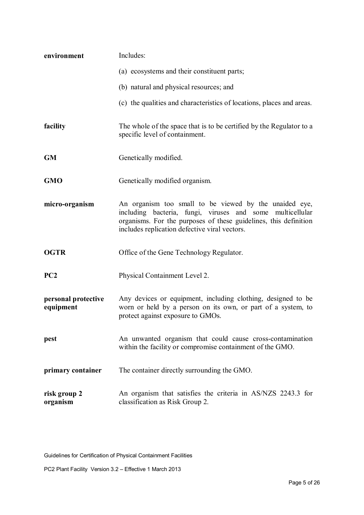| environment                      | Includes:                                                                                                                                                                                                                                   |
|----------------------------------|---------------------------------------------------------------------------------------------------------------------------------------------------------------------------------------------------------------------------------------------|
|                                  | (a) ecosystems and their constituent parts;                                                                                                                                                                                                 |
|                                  | (b) natural and physical resources; and                                                                                                                                                                                                     |
|                                  | (c) the qualities and characteristics of locations, places and areas.                                                                                                                                                                       |
| facility                         | The whole of the space that is to be certified by the Regulator to a<br>specific level of containment.                                                                                                                                      |
| <b>GM</b>                        | Genetically modified.                                                                                                                                                                                                                       |
| <b>GMO</b>                       | Genetically modified organism.                                                                                                                                                                                                              |
| micro-organism                   | An organism too small to be viewed by the unaided eye,<br>including bacteria, fungi, viruses and some<br>multicellular<br>organisms. For the purposes of these guidelines, this definition<br>includes replication defective viral vectors. |
| <b>OGTR</b>                      | Office of the Gene Technology Regulator.                                                                                                                                                                                                    |
| PC2                              | Physical Containment Level 2.                                                                                                                                                                                                               |
| personal protective<br>equipment | Any devices or equipment, including clothing, designed to be<br>worn or held by a person on its own, or part of a system, to<br>protect against exposure to GMOs.                                                                           |
| pest                             | An unwanted organism that could cause cross-contamination<br>within the facility or compromise containment of the GMO.                                                                                                                      |
| primary container                | The container directly surrounding the GMO.                                                                                                                                                                                                 |
| risk group 2<br>organism         | An organism that satisfies the criteria in AS/NZS 2243.3 for<br>classification as Risk Group 2.                                                                                                                                             |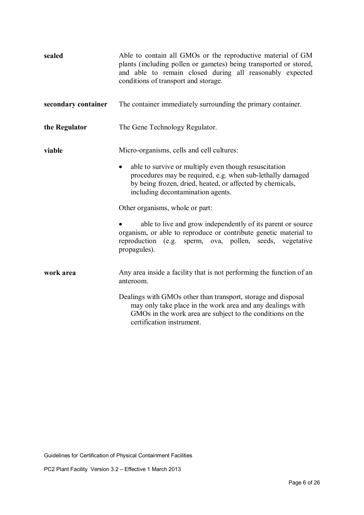| sealed              | Able to contain all GMOs or the reproductive material of GM<br>plants (including pollen or gametes) being transported or stored,<br>and able to remain closed during all reasonably expected<br>conditions of transport and storage.                                                                                                                                                                                                                                                                                              |
|---------------------|-----------------------------------------------------------------------------------------------------------------------------------------------------------------------------------------------------------------------------------------------------------------------------------------------------------------------------------------------------------------------------------------------------------------------------------------------------------------------------------------------------------------------------------|
| secondary container | The container immediately surrounding the primary container.                                                                                                                                                                                                                                                                                                                                                                                                                                                                      |
| the Regulator       | The Gene Technology Regulator.                                                                                                                                                                                                                                                                                                                                                                                                                                                                                                    |
| viable              | Micro-organisms, cells and cell cultures:<br>able to survive or multiply even though resuscitation<br>$\bullet$<br>procedures may be required, e.g. when sub-lethally damaged<br>by being frozen, dried, heated, or affected by chemicals,<br>including decontamination agents.<br>Other organisms, whole or part:<br>able to live and grow independently of its parent or source<br>organism, or able to reproduce or contribute genetic material to<br>reproduction (e.g. sperm, ova, pollen, seeds, vegetative<br>propagules). |
| work area           | Any area inside a facility that is not performing the function of an<br>anteroom.<br>Dealings with GMOs other than transport, storage and disposal<br>may only take place in the work area and any dealings with<br>GMOs in the work area are subject to the conditions on the<br>certification instrument.                                                                                                                                                                                                                       |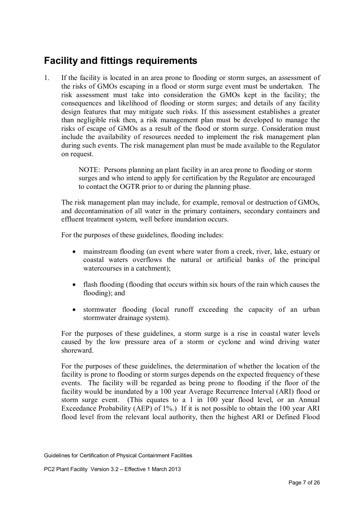## **Facility and fittings requirements**

1. If the facility is located in an area prone to flooding or storm surges, an assessment of the risks of GMOs escaping in a flood or storm surge event must be undertaken. The risk assessment must take into consideration the GMOs kept in the facility; the consequences and likelihood of flooding or storm surges; and details of any facility design features that may mitigate such risks. If this assessment establishes a greater than negligible risk then, a risk management plan must be developed to manage the risks of escape of GMOs as a result of the flood or storm surge. Consideration must include the availability of resources needed to implement the risk management plan during such events. The risk management plan must be made available to the Regulator on request.

> NOTE: Persons planning an plant facility in an area prone to flooding or storm surges and who intend to apply for certification by the Regulator are encouraged to contact the OGTR prior to or during the planning phase.

The risk management plan may include, for example, removal or destruction of GMOs, and decontamination of all water in the primary containers, secondary containers and effluent treatment system, well before inundation occurs.

For the purposes of these guidelines, flooding includes:

- mainstream flooding (an event where water from a creek, river, lake, estuary or coastal waters overflows the natural or artificial banks of the principal watercourses in a catchment);
- flash flooding (flooding that occurs within six hours of the rain which causes the flooding); and
- stormwater flooding (local runoff exceeding the capacity of an urban stormwater drainage system).

For the purposes of these guidelines, a storm surge is a rise in coastal water levels caused by the low pressure area of a storm or cyclone and wind driving water shoreward.

For the purposes of these guidelines, the determination of whether the location of the facility is prone to flooding or storm surges depends on the expected frequency of these events. The facility will be regarded as being prone to flooding if the floor of the facility would be inundated by a 100 year Average Recurrence Interval (ARI) flood or storm surge event. (This equates to a 1 in 100 year flood level, or an Annual Exceedance Probability (AEP) of 1%.) If it is not possible to obtain the 100 year ARI flood level from the relevant local authority, then the highest ARI or Defined Flood

Guidelines for Certification of Physical Containment Facilities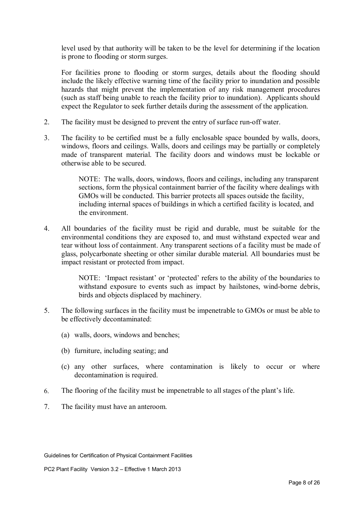level used by that authority will be taken to be the level for determining if the location is prone to flooding or storm surges.

For facilities prone to flooding or storm surges, details about the flooding should include the likely effective warning time of the facility prior to inundation and possible hazards that might prevent the implementation of any risk management procedures (such as staff being unable to reach the facility prior to inundation). Applicants should expect the Regulator to seek further details during the assessment of the application.

- 2. The facility must be designed to prevent the entry of surface run-off water.
- 3. The facility to be certified must be a fully enclosable space bounded by walls, doors, windows, floors and ceilings. Walls, doors and ceilings may be partially or completely made of transparent material. The facility doors and windows must be lockable or otherwise able to be secured.

NOTE: The walls, doors, windows, floors and ceilings, including any transparent sections, form the physical containment barrier of the facility where dealings with GMOs will be conducted. This barrier protects all spaces outside the facility, including internal spaces of buildings in which a certified facility is located, and the environment.

4. All boundaries of the facility must be rigid and durable, must be suitable for the environmental conditions they are exposed to, and must withstand expected wear and tear without loss of containment. Any transparent sections of a facility must be made of glass, polycarbonate sheeting or other similar durable material. All boundaries must be impact resistant or protected from impact.

> NOTE: 'Impact resistant' or 'protected' refers to the ability of the boundaries to withstand exposure to events such as impact by hailstones, wind-borne debris, birds and objects displaced by machinery.

- 5. The following surfaces in the facility must be impenetrable to GMOs or must be able to be effectively decontaminated:
	- (a) walls, doors, windows and benches;
	- (b) furniture, including seating; and
	- (c) any other surfaces, where contamination is likely to occur or where decontamination is required.
- 6. The flooring of the facility must be impenetrable to all stages of the plant's life.
- 7. The facility must have an anteroom.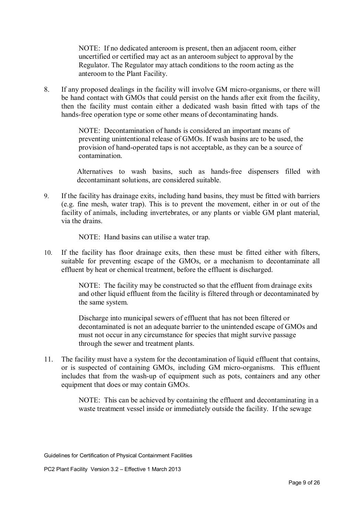NOTE: If no dedicated anteroom is present, then an adjacent room, either uncertified or certified may act as an anteroom subject to approval by the Regulator. The Regulator may attach conditions to the room acting as the anteroom to the Plant Facility.

8. If any proposed dealings in the facility will involve GM micro-organisms, or there will be hand contact with GMOs that could persist on the hands after exit from the facility, then the facility must contain either a dedicated wash basin fitted with taps of the hands-free operation type or some other means of decontaminating hands.

> NOTE: Decontamination of hands is considered an important means of preventing unintentional release of GMOs. If wash basins are to be used, the provision of hand-operated taps is not acceptable, as they can be a source of contamination.

Alternatives to wash basins, such as hands-free dispensers filled with decontaminant solutions, are considered suitable.

9. If the facility has drainage exits, including hand basins, they must be fitted with barriers (e.g. fine mesh, water trap). This is to prevent the movement, either in or out of the facility of animals, including invertebrates, or any plants or viable GM plant material, via the drains.

NOTE: Hand basins can utilise a water trap.

10. If the facility has floor drainage exits, then these must be fitted either with filters, suitable for preventing escape of the GMOs, or a mechanism to decontaminate all effluent by heat or chemical treatment, before the effluent is discharged.

> NOTE: The facility may be constructed so that the effluent from drainage exits and other liquid effluent from the facility is filtered through or decontaminated by the same system.

> Discharge into municipal sewers of effluent that has not been filtered or decontaminated is not an adequate barrier to the unintended escape of GMOs and must not occur in any circumstance for species that might survive passage through the sewer and treatment plants.

11. The facility must have a system for the decontamination of liquid effluent that contains, or is suspected of containing GMOs, including GM micro-organisms. This effluent includes that from the wash-up of equipment such as pots, containers and any other equipment that does or may contain GMOs.

> NOTE: This can be achieved by containing the effluent and decontaminating in a waste treatment vessel inside or immediately outside the facility. If the sewage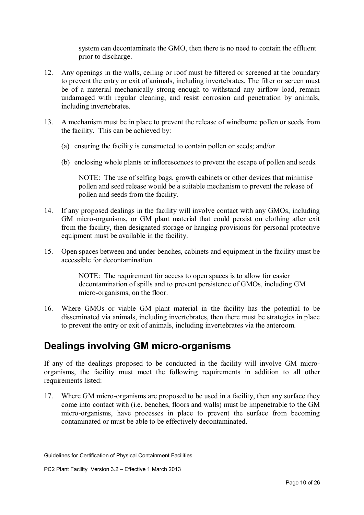system can decontaminate the GMO, then there is no need to contain the effluent prior to discharge.

- 12. Any openings in the walls, ceiling or roof must be filtered or screened at the boundary to prevent the entry or exit of animals, including invertebrates. The filter or screen must be of a material mechanically strong enough to withstand any airflow load, remain undamaged with regular cleaning, and resist corrosion and penetration by animals, including invertebrates.
- 13. A mechanism must be in place to prevent the release of windborne pollen or seeds from the facility. This can be achieved by:
	- (a) ensuring the facility is constructed to contain pollen or seeds; and/or
	- (b) enclosing whole plants or inflorescences to prevent the escape of pollen and seeds.

NOTE: The use of selfing bags, growth cabinets or other devices that minimise pollen and seed release would be a suitable mechanism to prevent the release of pollen and seeds from the facility.

- 14. If any proposed dealings in the facility will involve contact with any GMOs, including GM micro-organisms, or GM plant material that could persist on clothing after exit from the facility, then designated storage or hanging provisions for personal protective equipment must be available in the facility.
- 15. Open spaces between and under benches, cabinets and equipment in the facility must be accessible for decontamination.

NOTE: The requirement for access to open spaces is to allow for easier decontamination of spills and to prevent persistence of GMOs, including GM micro-organisms, on the floor.

16. Where GMOs or viable GM plant material in the facility has the potential to be disseminated via animals, including invertebrates, then there must be strategies in place to prevent the entry or exit of animals, including invertebrates via the anteroom.

### **Dealings involving GM micro-organisms**

If any of the dealings proposed to be conducted in the facility will involve GM microorganisms, the facility must meet the following requirements in addition to all other requirements listed:

17. Where GM micro-organisms are proposed to be used in a facility, then any surface they come into contact with (i.e. benches, floors and walls) must be impenetrable to the GM micro-organisms, have processes in place to prevent the surface from becoming contaminated or must be able to be effectively decontaminated.

Guidelines for Certification of Physical Containment Facilities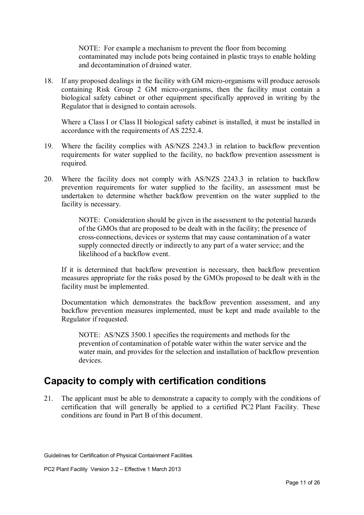NOTE: For example a mechanism to prevent the floor from becoming contaminated may include pots being contained in plastic trays to enable holding and decontamination of drained water.

18. If any proposed dealings in the facility with GM micro-organisms will produce aerosols containing Risk Group 2 GM micro-organisms, then the facility must contain a biological safety cabinet or other equipment specifically approved in writing by the Regulator that is designed to contain aerosols.

Where a Class I or Class II biological safety cabinet is installed, it must be installed in accordance with the requirements of AS 2252.4.

- 19. Where the facility complies with AS/NZS 2243.3 in relation to backflow prevention requirements for water supplied to the facility, no backflow prevention assessment is required.
- 20. Where the facility does not comply with AS/NZS 2243.3 in relation to backflow prevention requirements for water supplied to the facility, an assessment must be undertaken to determine whether backflow prevention on the water supplied to the facility is necessary.

NOTE: Consideration should be given in the assessment to the potential hazards of the GMOs that are proposed to be dealt with in the facility; the presence of cross-connections, devices or systems that may cause contamination of a water supply connected directly or indirectly to any part of a water service; and the likelihood of a backflow event.

If it is determined that backflow prevention is necessary, then backflow prevention measures appropriate for the risks posed by the GMOs proposed to be dealt with in the facility must be implemented.

Documentation which demonstrates the backflow prevention assessment, and any backflow prevention measures implemented, must be kept and made available to the Regulator if requested.

NOTE: AS/NZS 3500.1 specifies the requirements and methods for the prevention of contamination of potable water within the water service and the water main, and provides for the selection and installation of backflow prevention devices.

### **Capacity to comply with certification conditions**

21. The applicant must be able to demonstrate a capacity to comply with the conditions of certification that will generally be applied to a certified PC2 Plant Facility. These conditions are found in Part B of this document.

Guidelines for Certification of Physical Containment Facilities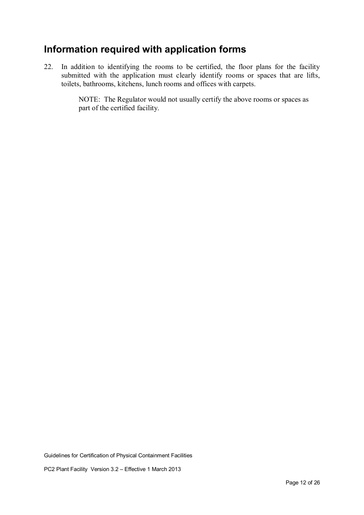## **Information required with application forms**

22. In addition to identifying the rooms to be certified, the floor plans for the facility submitted with the application must clearly identify rooms or spaces that are lifts, toilets, bathrooms, kitchens, lunch rooms and offices with carpets.

> NOTE: The Regulator would not usually certify the above rooms or spaces as part of the certified facility.

Guidelines for Certification of Physical Containment Facilities

PC2 Plant Facility Version 3.2 – Effective 1 March 2013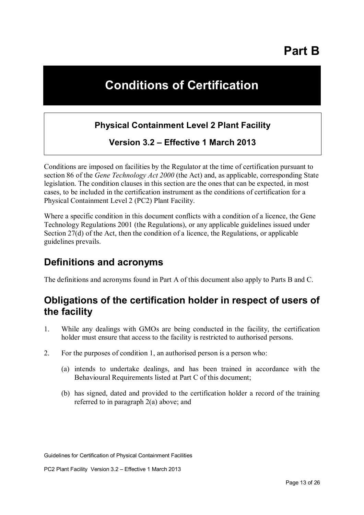**Part B** 

## **Conditions of Certification**

#### **Physical Containment Level 2 Plant Facility**

**Version 3.2 – Effective 1 March 2013** 

Conditions are imposed on facilities by the Regulator at the time of certification pursuant to section 86 of the *Gene Technology Act 2000* (the Act) and, as applicable, corresponding State legislation. The condition clauses in this section are the ones that can be expected, in most cases, to be included in the certification instrument as the conditions of certification for a Physical Containment Level 2 (PC2) Plant Facility.

Where a specific condition in this document conflicts with a condition of a licence, the Gene Technology Regulations 2001 (the Regulations), or any applicable guidelines issued under Section 27(d) of the Act, then the condition of a licence, the Regulations, or applicable guidelines prevails.

### **Definitions and acronyms**

The definitions and acronyms found in Part A of this document also apply to Parts B and C.

## **Obligations of the certification holder in respect of users of the facility**

- 1. While any dealings with GMOs are being conducted in the facility, the certification holder must ensure that access to the facility is restricted to authorised persons.
- 2. For the purposes of condition 1, an authorised person is a person who:
	- (a) intends to undertake dealings, and has been trained in accordance with the Behavioural Requirements listed at Part C of this document;
	- (b) has signed, dated and provided to the certification holder a record of the training referred to in paragraph 2(a) above; and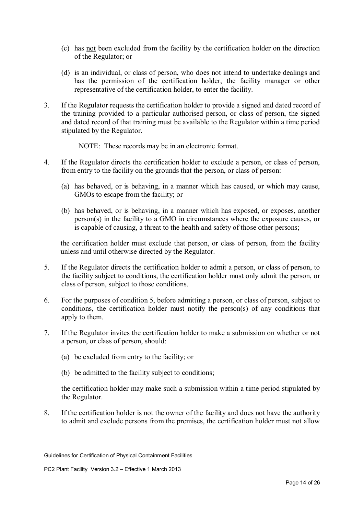- (c) has not been excluded from the facility by the certification holder on the direction of the Regulator; or
- (d) is an individual, or class of person, who does not intend to undertake dealings and has the permission of the certification holder, the facility manager or other representative of the certification holder, to enter the facility.
- 3. If the Regulator requests the certification holder to provide a signed and dated record of the training provided to a particular authorised person, or class of person, the signed and dated record of that training must be available to the Regulator within a time period stipulated by the Regulator.
	- NOTE: These records may be in an electronic format.
- 4. If the Regulator directs the certification holder to exclude a person, or class of person, from entry to the facility on the grounds that the person, or class of person:
	- (a) has behaved, or is behaving, in a manner which has caused, or which may cause, GMOs to escape from the facility; or
	- (b) has behaved, or is behaving, in a manner which has exposed, or exposes, another person(s) in the facility to a GMO in circumstances where the exposure causes, or is capable of causing, a threat to the health and safety of those other persons;

the certification holder must exclude that person, or class of person, from the facility unless and until otherwise directed by the Regulator.

- 5. If the Regulator directs the certification holder to admit a person, or class of person, to the facility subject to conditions, the certification holder must only admit the person, or class of person, subject to those conditions.
- 6. For the purposes of condition 5, before admitting a person, or class of person, subject to conditions, the certification holder must notify the person(s) of any conditions that apply to them.
- 7. If the Regulator invites the certification holder to make a submission on whether or not a person, or class of person, should:
	- (a) be excluded from entry to the facility; or
	- (b) be admitted to the facility subject to conditions;

the certification holder may make such a submission within a time period stipulated by the Regulator.

8. If the certification holder is not the owner of the facility and does not have the authority to admit and exclude persons from the premises, the certification holder must not allow

Guidelines for Certification of Physical Containment Facilities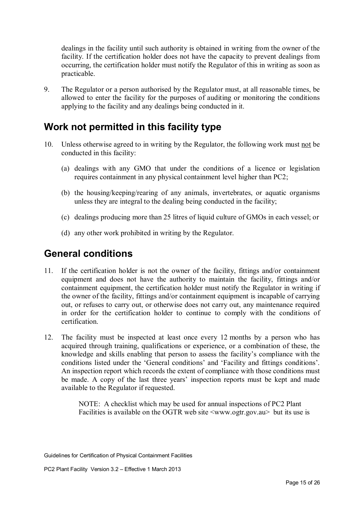dealings in the facility until such authority is obtained in writing from the owner of the facility. If the certification holder does not have the capacity to prevent dealings from occurring, the certification holder must notify the Regulator of this in writing as soon as practicable.

9. The Regulator or a person authorised by the Regulator must, at all reasonable times, be allowed to enter the facility for the purposes of auditing or monitoring the conditions applying to the facility and any dealings being conducted in it.

### **Work not permitted in this facility type**

- 10. Unless otherwise agreed to in writing by the Regulator, the following work must not be conducted in this facility:
	- (a) dealings with any GMO that under the conditions of a licence or legislation requires containment in any physical containment level higher than PC2;
	- (b) the housing/keeping/rearing of any animals, invertebrates, or aquatic organisms unless they are integral to the dealing being conducted in the facility;
	- (c) dealings producing more than 25 litres of liquid culture of GMOs in each vessel; or
	- (d) any other work prohibited in writing by the Regulator.

### **General conditions**

- 11. If the certification holder is not the owner of the facility, fittings and/or containment equipment and does not have the authority to maintain the facility, fittings and/or containment equipment, the certification holder must notify the Regulator in writing if the owner of the facility, fittings and/or containment equipment is incapable of carrying out, or refuses to carry out, or otherwise does not carry out, any maintenance required in order for the certification holder to continue to comply with the conditions of certification.
- 12. The facility must be inspected at least once every 12 months by a person who has acquired through training, qualifications or experience, or a combination of these, the knowledge and skills enabling that person to assess the facility's compliance with the conditions listed under the 'General conditions' and 'Facility and fittings conditions'. An inspection report which records the extent of compliance with those conditions must be made. A copy of the last three years' inspection reports must be kept and made available to the Regulator if requested.

NOTE: A checklist which may be used for annual inspections of PC2 Plant Facilities is available on the OGTR web site  $\langle$ www.ogtr.gov.au but its use is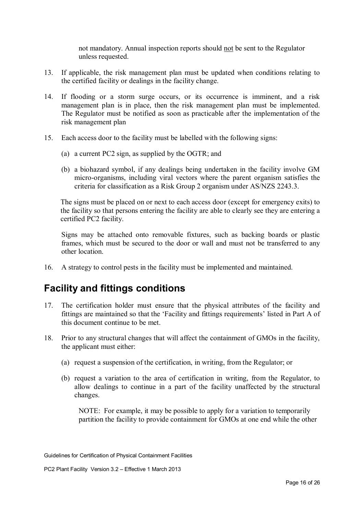not mandatory. Annual inspection reports should not be sent to the Regulator unless requested.

- 13. If applicable, the risk management plan must be updated when conditions relating to the certified facility or dealings in the facility change.
- 14. If flooding or a storm surge occurs, or its occurrence is imminent, and a risk management plan is in place, then the risk management plan must be implemented. The Regulator must be notified as soon as practicable after the implementation of the risk management plan
- 15. Each access door to the facility must be labelled with the following signs:
	- (a) a current PC2 sign, as supplied by the OGTR; and
	- (b) a biohazard symbol, if any dealings being undertaken in the facility involve GM micro-organisms, including viral vectors where the parent organism satisfies the criteria for classification as a Risk Group 2 organism under AS/NZS 2243.3.

The signs must be placed on or next to each access door (except for emergency exits) to the facility so that persons entering the facility are able to clearly see they are entering a certified PC2 facility.

Signs may be attached onto removable fixtures, such as backing boards or plastic frames, which must be secured to the door or wall and must not be transferred to any other location.

16. A strategy to control pests in the facility must be implemented and maintained.

### **Facility and fittings conditions**

- 17. The certification holder must ensure that the physical attributes of the facility and fittings are maintained so that the 'Facility and fittings requirements' listed in Part A of this document continue to be met.
- 18. Prior to any structural changes that will affect the containment of GMOs in the facility, the applicant must either:
	- (a) request a suspension of the certification, in writing, from the Regulator; or
	- (b) request a variation to the area of certification in writing, from the Regulator, to allow dealings to continue in a part of the facility unaffected by the structural changes.

NOTE: For example, it may be possible to apply for a variation to temporarily partition the facility to provide containment for GMOs at one end while the other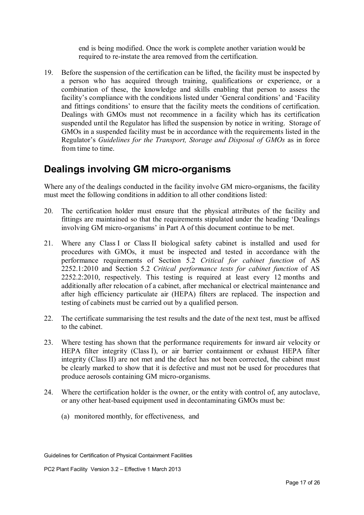end is being modified. Once the work is complete another variation would be required to re-instate the area removed from the certification.

19. Before the suspension of the certification can be lifted, the facility must be inspected by a person who has acquired through training, qualifications or experience, or a combination of these, the knowledge and skills enabling that person to assess the facility's compliance with the conditions listed under 'General conditions' and 'Facility and fittings conditions' to ensure that the facility meets the conditions of certification. Dealings with GMOs must not recommence in a facility which has its certification suspended until the Regulator has lifted the suspension by notice in writing. Storage of GMOs in a suspended facility must be in accordance with the requirements listed in the Regulator's *Guidelines for the Transport, Storage and Disposal of GMOs* as in force from time to time.

### **Dealings involving GM micro-organisms**

Where any of the dealings conducted in the facility involve GM micro-organisms, the facility must meet the following conditions in addition to all other conditions listed:

- 20. The certification holder must ensure that the physical attributes of the facility and fittings are maintained so that the requirements stipulated under the heading 'Dealings involving GM micro-organisms' in Part A of this document continue to be met.
- 21. Where any Class I or Class II biological safety cabinet is installed and used for procedures with GMOs, it must be inspected and tested in accordance with the performance requirements of Section 5.2 *Critical for cabinet function* of AS 2252.1:2010 and Section 5.2 *Critical performance tests for cabinet function* of AS 2252.2:2010, respectively. This testing is required at least every 12 months and additionally after relocation of a cabinet, after mechanical or electrical maintenance and after high efficiency particulate air (HEPA) filters are replaced. The inspection and testing of cabinets must be carried out by a qualified person.
- 22. The certificate summarising the test results and the date of the next test, must be affixed to the cabinet.
- 23. Where testing has shown that the performance requirements for inward air velocity or HEPA filter integrity (Class I), or air barrier containment or exhaust HEPA filter integrity (Class II) are not met and the defect has not been corrected, the cabinet must be clearly marked to show that it is defective and must not be used for procedures that produce aerosols containing GM micro-organisms.
- 24. Where the certification holder is the owner, or the entity with control of, any autoclave, or any other heat-based equipment used in decontaminating GMOs must be:
	- (a) monitored monthly, for effectiveness, and

Guidelines for Certification of Physical Containment Facilities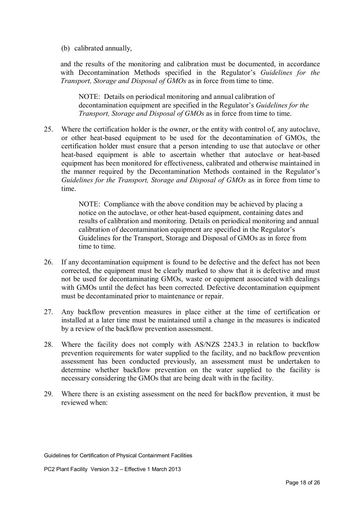(b) calibrated annually,

and the results of the monitoring and calibration must be documented, in accordance with Decontamination Methods specified in the Regulator's *Guidelines for the Transport, Storage and Disposal of GMOs* as in force from time to time.

NOTE: Details on periodical monitoring and annual calibration of decontamination equipment are specified in the Regulator's *Guidelines for the Transport, Storage and Disposal of GMOs* as in force from time to time.

25. Where the certification holder is the owner, or the entity with control of, any autoclave, or other heat-based equipment to be used for the decontamination of GMOs, the certification holder must ensure that a person intending to use that autoclave or other heat-based equipment is able to ascertain whether that autoclave or heat-based equipment has been monitored for effectiveness, calibrated and otherwise maintained in the manner required by the Decontamination Methods contained in the Regulator's *Guidelines for the Transport, Storage and Disposal of GMOs* as in force from time to time.

> NOTE: Compliance with the above condition may be achieved by placing a notice on the autoclave, or other heat-based equipment, containing dates and results of calibration and monitoring. Details on periodical monitoring and annual calibration of decontamination equipment are specified in the Regulator's Guidelines for the Transport, Storage and Disposal of GMOs as in force from time to time.

- 26. If any decontamination equipment is found to be defective and the defect has not been corrected, the equipment must be clearly marked to show that it is defective and must not be used for decontaminating GMOs, waste or equipment associated with dealings with GMOs until the defect has been corrected. Defective decontamination equipment must be decontaminated prior to maintenance or repair.
- 27. Any backflow prevention measures in place either at the time of certification or installed at a later time must be maintained until a change in the measures is indicated by a review of the backflow prevention assessment.
- 28. Where the facility does not comply with AS/NZS 2243.3 in relation to backflow prevention requirements for water supplied to the facility, and no backflow prevention assessment has been conducted previously, an assessment must be undertaken to determine whether backflow prevention on the water supplied to the facility is necessary considering the GMOs that are being dealt with in the facility.
- 29. Where there is an existing assessment on the need for backflow prevention, it must be reviewed when: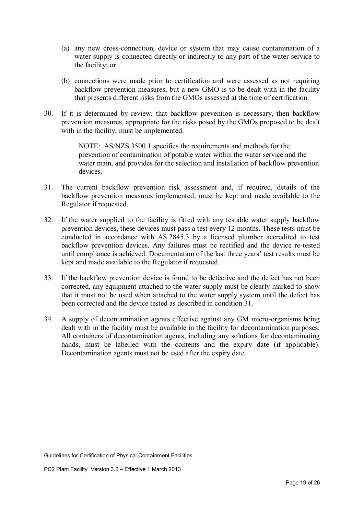- (a) any new cross-connection, device or system that may cause contamination of a water supply is connected directly or indirectly to any part of the water service to the facility; or
- (b) connections were made prior to certification and were assessed as not requiring backflow prevention measures, but a new GMO is to be dealt with in the facility that presents different risks from the GMOs assessed at the time of certification.
- 30. If it is determined by review, that backflow prevention is necessary, then backflow prevention measures, appropriate for the risks posed by the GMOs proposed to be dealt with in the facility, must be implemented.

NOTE: AS/NZS 3500.1 specifies the requirements and methods for the prevention of contamination of potable water within the water service and the water main, and provides for the selection and installation of backflow prevention devices.

- 31. The current backflow prevention risk assessment and, if required, details of the backflow prevention measures implemented, must be kept and made available to the Regulator if requested.
- 32. If the water supplied to the facility is fitted with any testable water supply backflow prevention devices, these devices must pass a test every 12 months. These tests must be conducted in accordance with AS 2845.3 by a licensed plumber accredited to test backflow prevention devices. Any failures must be rectified and the device re-tested until compliance is achieved. Documentation of the last three years' test results must be kept and made available to the Regulator if requested.
- 33. If the backflow prevention device is found to be defective and the defect has not been corrected, any equipment attached to the water supply must be clearly marked to show that it must not be used when attached to the water supply system until the defect has been corrected and the device tested as described in condition 31.
- 34. A supply of decontamination agents effective against any GM micro-organisms being dealt with in the facility must be available in the facility for decontamination purposes. All containers of decontamination agents, including any solutions for decontaminating hands, must be labelled with the contents and the expiry date (if applicable). Decontamination agents must not be used after the expiry date.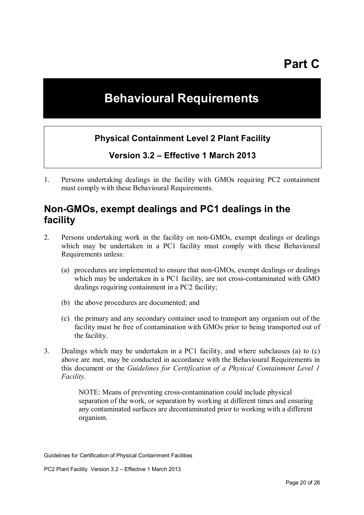## **Behavioural Requirements**

#### **Physical Containment Level 2 Plant Facility**

**Version 3.2 – Effective 1 March 2013** 

1. Persons undertaking dealings in the facility with GMOs requiring PC2 containment must comply with these Behavioural Requirements.

#### **Non-GMOs, exempt dealings and PC1 dealings in the facility**

- 2. Persons undertaking work in the facility on non-GMOs, exempt dealings or dealings which may be undertaken in a PC1 facility must comply with these Behavioural Requirements unless:
	- (a) procedures are implemented to ensure that non-GMOs, exempt dealings or dealings which may be undertaken in a PC1 facility, are not cross-contaminated with GMO dealings requiring containment in a PC2 facility;
	- (b) the above procedures are documented; and
	- (c) the primary and any secondary container used to transport any organism out of the facility must be free of contamination with GMOs prior to being transported out of the facility.
- 3. Dealings which may be undertaken in a PC1 facility, and where subclauses (a) to (c) above are met, may be conducted in accordance with the Behavioural Requirements in this document or the *Guidelines for Certification of a Physical Containment Level 1 Facility.*

NOTE: Means of preventing cross-contamination could include physical separation of the work, or separation by working at different times and ensuring any contaminated surfaces are decontaminated prior to working with a different organism.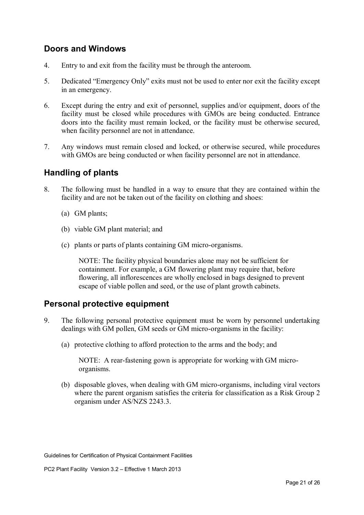#### **Doors and Windows**

- 4. Entry to and exit from the facility must be through the anteroom.
- 5. Dedicated "Emergency Only" exits must not be used to enter nor exit the facility except in an emergency.
- 6. Except during the entry and exit of personnel, supplies and/or equipment, doors of the facility must be closed while procedures with GMOs are being conducted. Entrance doors into the facility must remain locked, or the facility must be otherwise secured, when facility personnel are not in attendance.
- 7. Any windows must remain closed and locked, or otherwise secured, while procedures with GMOs are being conducted or when facility personnel are not in attendance.

#### **Handling of plants**

- 8. The following must be handled in a way to ensure that they are contained within the facility and are not be taken out of the facility on clothing and shoes:
	- (a) GM plants;
	- (b) viable GM plant material; and
	- (c) plants or parts of plants containing GM micro-organisms.

NOTE: The facility physical boundaries alone may not be sufficient for containment. For example, a GM flowering plant may require that, before flowering, all inflorescences are wholly enclosed in bags designed to prevent escape of viable pollen and seed, or the use of plant growth cabinets.

#### **Personal protective equipment**

- 9. The following personal protective equipment must be worn by personnel undertaking dealings with GM pollen, GM seeds or GM micro-organisms in the facility:
	- (a) protective clothing to afford protection to the arms and the body; and

NOTE: A rear-fastening gown is appropriate for working with GM microorganisms.

(b) disposable gloves, when dealing with GM micro-organisms, including viral vectors where the parent organism satisfies the criteria for classification as a Risk Group 2 organism under AS/NZS 2243.3.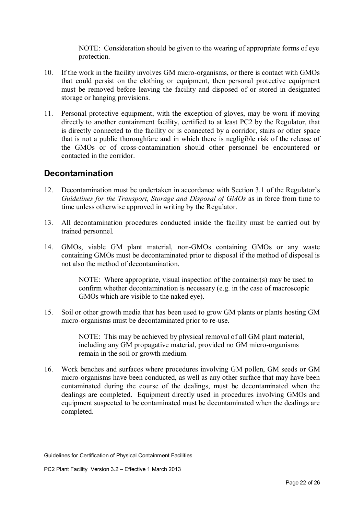NOTE: Consideration should be given to the wearing of appropriate forms of eye protection.

- 10. If the work in the facility involves GM micro-organisms, or there is contact with GMOs that could persist on the clothing or equipment, then personal protective equipment must be removed before leaving the facility and disposed of or stored in designated storage or hanging provisions.
- 11. Personal protective equipment, with the exception of gloves, may be worn if moving directly to another containment facility, certified to at least PC2 by the Regulator, that is directly connected to the facility or is connected by a corridor, stairs or other space that is not a public thoroughfare and in which there is negligible risk of the release of the GMOs or of cross-contamination should other personnel be encountered or contacted in the corridor.

#### **Decontamination**

- 12. Decontamination must be undertaken in accordance with Section 3.1 of the Regulator's *Guidelines for the Transport, Storage and Disposal of GMOs* as in force from time to time unless otherwise approved in writing by the Regulator.
- 13. All decontamination procedures conducted inside the facility must be carried out by trained personnel.
- 14. GMOs, viable GM plant material, non-GMOs containing GMOs or any waste containing GMOs must be decontaminated prior to disposal if the method of disposal is not also the method of decontamination.

NOTE: Where appropriate, visual inspection of the container(s) may be used to confirm whether decontamination is necessary (e.g. in the case of macroscopic GMOs which are visible to the naked eye).

15. Soil or other growth media that has been used to grow GM plants or plants hosting GM micro-organisms must be decontaminated prior to re-use.

> NOTE: This may be achieved by physical removal of all GM plant material, including any GM propagative material, provided no GM micro-organisms remain in the soil or growth medium.

16. Work benches and surfaces where procedures involving GM pollen, GM seeds or GM micro-organisms have been conducted, as well as any other surface that may have been contaminated during the course of the dealings, must be decontaminated when the dealings are completed. Equipment directly used in procedures involving GMOs and equipment suspected to be contaminated must be decontaminated when the dealings are completed.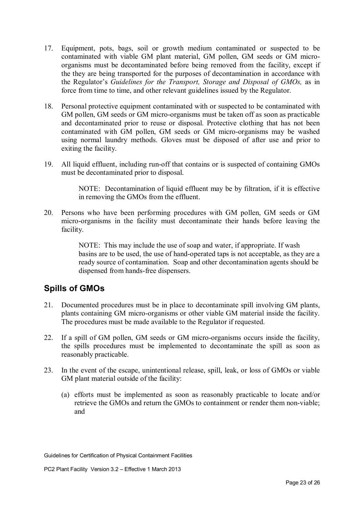- 17. Equipment, pots, bags, soil or growth medium contaminated or suspected to be contaminated with viable GM plant material, GM pollen, GM seeds or GM microorganisms must be decontaminated before being removed from the facility, except if the they are being transported for the purposes of decontamination in accordance with the Regulator's *Guidelines for the Transport, Storage and Disposal of GMOs,* as in force from time to time, and other relevant guidelines issued by the Regulator.
- 18. Personal protective equipment contaminated with or suspected to be contaminated with GM pollen, GM seeds or GM micro-organisms must be taken off as soon as practicable and decontaminated prior to reuse or disposal. Protective clothing that has not been contaminated with GM pollen, GM seeds or GM micro-organisms may be washed using normal laundry methods. Gloves must be disposed of after use and prior to exiting the facility.
- 19. All liquid effluent, including run-off that contains or is suspected of containing GMOs must be decontaminated prior to disposal.

NOTE: Decontamination of liquid effluent may be by filtration, if it is effective in removing the GMOs from the effluent.

20. Persons who have been performing procedures with GM pollen, GM seeds or GM micro-organisms in the facility must decontaminate their hands before leaving the facility.

> NOTE: This may include the use of soap and water, if appropriate. If wash basins are to be used, the use of hand-operated taps is not acceptable, as they are a ready source of contamination. Soap and other decontamination agents should be dispensed from hands-free dispensers.

#### **Spills of GMOs**

- 21. Documented procedures must be in place to decontaminate spill involving GM plants, plants containing GM micro-organisms or other viable GM material inside the facility. The procedures must be made available to the Regulator if requested.
- 22. If a spill of GM pollen, GM seeds or GM micro-organisms occurs inside the facility, the spills procedures must be implemented to decontaminate the spill as soon as reasonably practicable.
- 23. In the event of the escape, unintentional release, spill, leak, or loss of GMOs or viable GM plant material outside of the facility:
	- (a) efforts must be implemented as soon as reasonably practicable to locate and/or retrieve the GMOs and return the GMOs to containment or render them non-viable; and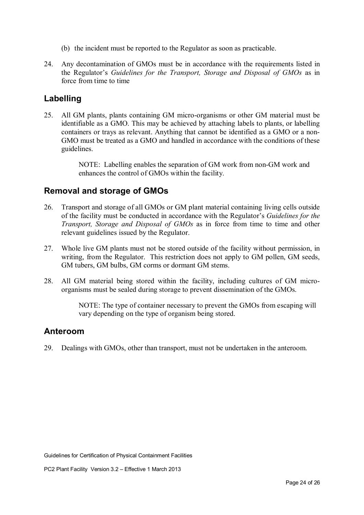- (b) the incident must be reported to the Regulator as soon as practicable.
- 24. Any decontamination of GMOs must be in accordance with the requirements listed in the Regulator's *Guidelines for the Transport, Storage and Disposal of GMOs* as in force from time to time

#### **Labelling**

25. All GM plants, plants containing GM micro-organisms or other GM material must be identifiable as a GMO. This may be achieved by attaching labels to plants, or labelling containers or trays as relevant. Anything that cannot be identified as a GMO or a non-GMO must be treated as a GMO and handled in accordance with the conditions of these guidelines.

> NOTE: Labelling enables the separation of GM work from non-GM work and enhances the control of GMOs within the facility.

#### **Removal and storage of GMOs**

- 26. Transport and storage of all GMOs or GM plant material containing living cells outside of the facility must be conducted in accordance with the Regulator's *Guidelines for the Transport, Storage and Disposal of GMOs* as in force from time to time and other relevant guidelines issued by the Regulator.
- 27. Whole live GM plants must not be stored outside of the facility without permission, in writing, from the Regulator. This restriction does not apply to GM pollen, GM seeds, GM tubers, GM bulbs, GM corms or dormant GM stems.
- 28. All GM material being stored within the facility, including cultures of GM microorganisms must be sealed during storage to prevent dissemination of the GMOs.

NOTE: The type of container necessary to prevent the GMOs from escaping will vary depending on the type of organism being stored.

#### **Anteroom**

29. Dealings with GMOs, other than transport, must not be undertaken in the anteroom.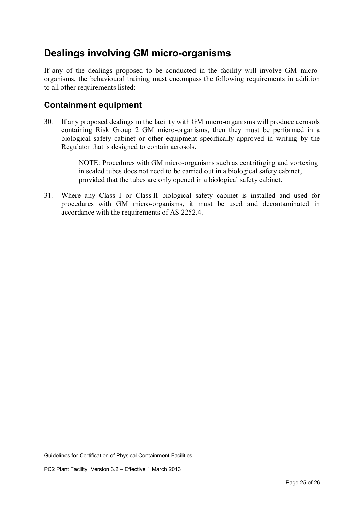## **Dealings involving GM micro-organisms**

If any of the dealings proposed to be conducted in the facility will involve GM microorganisms, the behavioural training must encompass the following requirements in addition to all other requirements listed:

#### **Containment equipment**

30. If any proposed dealings in the facility with GM micro-organisms will produce aerosols containing Risk Group 2 GM micro-organisms, then they must be performed in a biological safety cabinet or other equipment specifically approved in writing by the Regulator that is designed to contain aerosols.

> NOTE: Procedures with GM micro-organisms such as centrifuging and vortexing in sealed tubes does not need to be carried out in a biological safety cabinet, provided that the tubes are only opened in a biological safety cabinet.

31. Where any Class I or Class II biological safety cabinet is installed and used for procedures with GM micro-organisms, it must be used and decontaminated in accordance with the requirements of AS 2252.4.